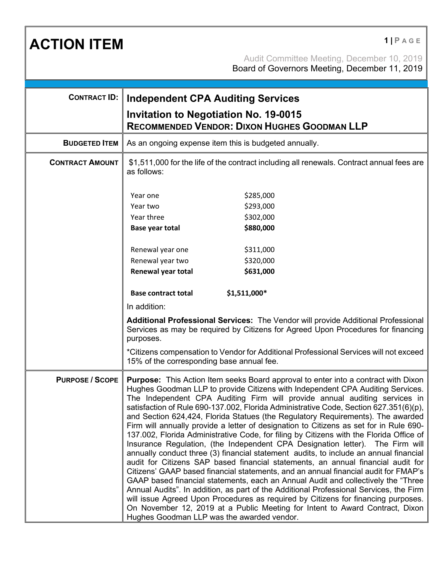**ACTION ITEM 1 PAGE** 

Audit Committee Meeting, December 10, 2019 Board of Governors Meeting, December 11, 2019

 **CONTRACT ID: Independent CPA Auditing Services**

|                        |                                                                                                                                                                                                                                                                                                                                                                                                                                                                                                                                                                                                                                                                                                                                                                                                                                                                                                                                                                                                                                                                                                                                                                                                                                                                                                                                                                                   | Invitation to Negotiation No. 19-0015<br><b>RECOMMENDED VENDOR: DIXON HUGHES GOODMAN LLP</b> |
|------------------------|-----------------------------------------------------------------------------------------------------------------------------------------------------------------------------------------------------------------------------------------------------------------------------------------------------------------------------------------------------------------------------------------------------------------------------------------------------------------------------------------------------------------------------------------------------------------------------------------------------------------------------------------------------------------------------------------------------------------------------------------------------------------------------------------------------------------------------------------------------------------------------------------------------------------------------------------------------------------------------------------------------------------------------------------------------------------------------------------------------------------------------------------------------------------------------------------------------------------------------------------------------------------------------------------------------------------------------------------------------------------------------------|----------------------------------------------------------------------------------------------|
| <b>BUDGETED ITEM</b>   | As an ongoing expense item this is budgeted annually.                                                                                                                                                                                                                                                                                                                                                                                                                                                                                                                                                                                                                                                                                                                                                                                                                                                                                                                                                                                                                                                                                                                                                                                                                                                                                                                             |                                                                                              |
| <b>CONTRACT AMOUNT</b> | \$1,511,000 for the life of the contract including all renewals. Contract annual fees are<br>as follows:                                                                                                                                                                                                                                                                                                                                                                                                                                                                                                                                                                                                                                                                                                                                                                                                                                                                                                                                                                                                                                                                                                                                                                                                                                                                          |                                                                                              |
|                        | Year one<br>Year two<br>Year three<br><b>Base year total</b>                                                                                                                                                                                                                                                                                                                                                                                                                                                                                                                                                                                                                                                                                                                                                                                                                                                                                                                                                                                                                                                                                                                                                                                                                                                                                                                      | \$285,000<br>\$293,000<br>\$302,000<br>\$880,000                                             |
|                        | Renewal year one<br>Renewal year two<br>Renewal year total                                                                                                                                                                                                                                                                                                                                                                                                                                                                                                                                                                                                                                                                                                                                                                                                                                                                                                                                                                                                                                                                                                                                                                                                                                                                                                                        | \$311,000<br>\$320,000<br>\$631,000                                                          |
|                        | <b>Base contract total</b>                                                                                                                                                                                                                                                                                                                                                                                                                                                                                                                                                                                                                                                                                                                                                                                                                                                                                                                                                                                                                                                                                                                                                                                                                                                                                                                                                        | \$1,511,000*                                                                                 |
|                        | In addition:<br>Additional Professional Services: The Vendor will provide Additional Professional<br>Services as may be required by Citizens for Agreed Upon Procedures for financing<br>purposes.<br>*Citizens compensation to Vendor for Additional Professional Services will not exceed<br>15% of the corresponding base annual fee.                                                                                                                                                                                                                                                                                                                                                                                                                                                                                                                                                                                                                                                                                                                                                                                                                                                                                                                                                                                                                                          |                                                                                              |
| <b>PURPOSE / SCOPE</b> | <b>Purpose:</b> This Action Item seeks Board approval to enter into a contract with Dixon<br>Hughes Goodman LLP to provide Citizens with Independent CPA Auditing Services.<br>The Independent CPA Auditing Firm will provide annual auditing services in<br>satisfaction of Rule 690-137.002, Florida Administrative Code, Section 627.351(6)(p),<br>and Section 624,424, Florida Statues (the Regulatory Requirements). The awarded<br>Firm will annually provide a letter of designation to Citizens as set for in Rule 690-<br>137.002, Florida Administrative Code, for filing by Citizens with the Florida Office of<br>Insurance Regulation, (the Independent CPA Designation letter). The Firm will<br>annually conduct three (3) financial statement audits, to include an annual financial<br>audit for Citizens SAP based financial statements, an annual financial audit for<br>Citizens' GAAP based financial statements, and an annual financial audit for FMAP's<br>GAAP based financial statements, each an Annual Audit and collectively the "Three<br>Annual Audits". In addition, as part of the Additional Professional Services, the Firm<br>will issue Agreed Upon Procedures as required by Citizens for financing purposes.<br>On November 12, 2019 at a Public Meeting for Intent to Award Contract, Dixon<br>Hughes Goodman LLP was the awarded vendor. |                                                                                              |